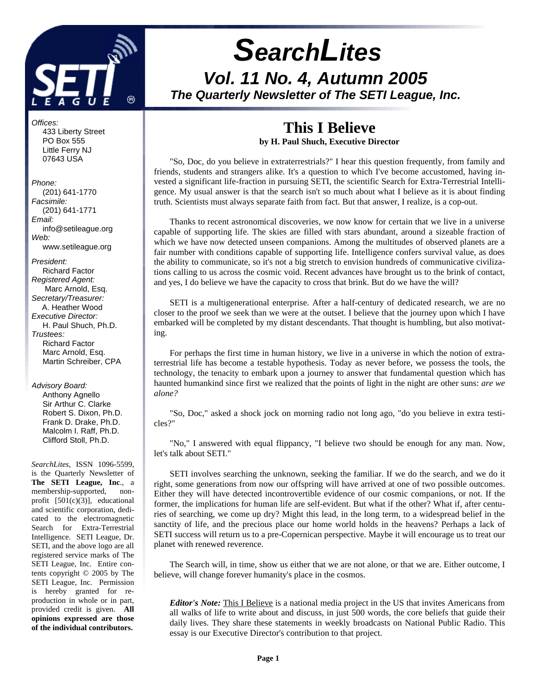

# *SearchLites Vol. 11 No. 4, Autumn 2005 The Quarterly Newsletter of The SETI League, Inc.*

# **This I Believe**

**by H. Paul Shuch, Executive Director**

"So, Doc, do you believe in extraterrestrials?" I hear this question frequently, from family and friends, students and strangers alike. It's a question to which I've become accustomed, having invested a significant life-fraction in pursuing SETI, the scientific Search for Extra-Terrestrial Intelligence. My usual answer is that the search isn't so much about what I believe as it is about finding truth. Scientists must always separate faith from fact. But that answer, I realize, is a cop-out.

Thanks to recent astronomical discoveries, we now know for certain that we live in a universe capable of supporting life. The skies are filled with stars abundant, around a sizeable fraction of which we have now detected unseen companions. Among the multitudes of observed planets are a fair number with conditions capable of supporting life. Intelligence confers survival value, as does the ability to communicate, so it's not a big stretch to envision hundreds of communicative civilizations calling to us across the cosmic void. Recent advances have brought us to the brink of contact, and yes, I do believe we have the capacity to cross that brink. But do we have the will?

SETI is a multigenerational enterprise. After a half-century of dedicated research, we are no closer to the proof we seek than we were at the outset. I believe that the journey upon which I have embarked will be completed by my distant descendants. That thought is humbling, but also motivating.

For perhaps the first time in human history, we live in a universe in which the notion of extraterrestrial life has become a testable hypothesis. Today as never before, we possess the tools, the technology, the tenacity to embark upon a journey to answer that fundamental question which has haunted humankind since first we realized that the points of light in the night are other suns: *are we alone?*

"So, Doc," asked a shock jock on morning radio not long ago, "do you believe in extra testicles?"

"No," I answered with equal flippancy, "I believe two should be enough for any man. Now, let's talk about SETI."

SETI involves searching the unknown, seeking the familiar. If we do the search, and we do it right, some generations from now our offspring will have arrived at one of two possible outcomes. Either they will have detected incontrovertible evidence of our cosmic companions, or not. If the former, the implications for human life are self-evident. But what if the other? What if, after centuries of searching, we come up dry? Might this lead, in the long term, to a widespread belief in the sanctity of life, and the precious place our home world holds in the heavens? Perhaps a lack of SETI success will return us to a pre-Copernican perspective. Maybe it will encourage us to treat our planet with renewed reverence.

The Search will, in time, show us either that we are not alone, or that we are. Either outcome, I believe, will change forever humanity's place in the cosmos.

*Editor's Note:* This I Believe is a national media project in the US that invites Americans from all walks of life to write about and discuss, in just 500 words, the core beliefs that guide their daily lives. They share these statements in weekly broadcasts on National Public Radio. This essay is our Executive Director's contribution to that project.

 433 Liberty Street PO Box 555 Little Ferry NJ 07643 USA *Phone:* (201) 641-1770 *Facsimile:*

*Offices:*

 (201) 641-1771 *Email:* info@setileague.org *Web:* www.setileague.org

*President:* Richard Factor *Registered Agent:*  Marc Arnold, Esq. *Secretary/Treasurer:* A. Heather Wood *Executive Director:* H. Paul Shuch, Ph.D. *Trustees:* **Richard Factor**  Marc Arnold, Esq. Martin Schreiber, CPA

*Advisory Board:*

 Anthony Agnello Sir Arthur C. Clarke Robert S. Dixon, Ph.D. Frank D. Drake, Ph.D. Malcolm I. Raff, Ph.D. Clifford Stoll, Ph.D.

*SearchLites*, ISSN 1096-5599, is the Quarterly Newsletter of **The SETI League, Inc**., a membership-supported, nonprofit [501(c)(3)], educational and scientific corporation, dedicated to the electromagnetic Search for Extra-Terrestrial Intelligence. SETI League, Dr. SETI, and the above logo are all registered service marks of The SETI League, Inc. Entire contents copyright © 2005 by The SETI League, Inc. Permission is hereby granted for reproduction in whole or in part, provided credit is given. **All opinions expressed are those of the individual contributors.**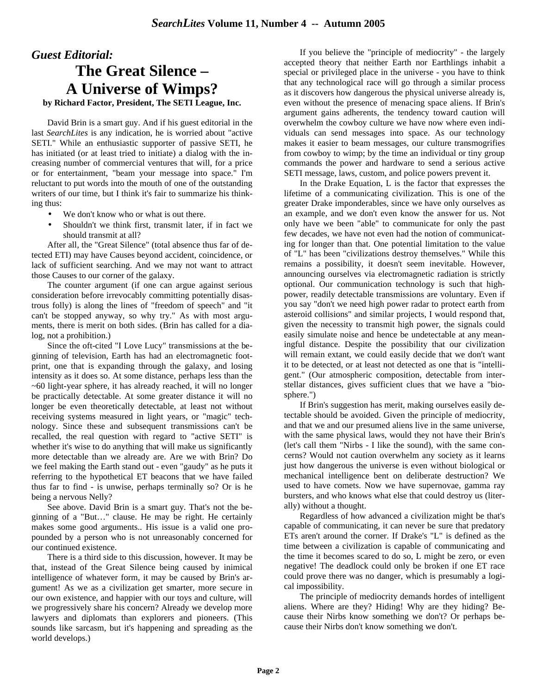# *Guest Editorial:* **The Great Silence – A Universe of Wimps?**

**by Richard Factor, President, The SETI League, Inc.**

David Brin is a smart guy. And if his guest editorial in the last *SearchLites* is any indication, he is worried about "active SETI." While an enthusiastic supporter of passive SETI, he has initiated (or at least tried to initiate) a dialog with the increasing number of commercial ventures that will, for a price or for entertainment, "beam your message into space." I'm reluctant to put words into the mouth of one of the outstanding writers of our time, but I think it's fair to summarize his thinking thus:

- We don't know who or what is out there.
- Shouldn't we think first, transmit later, if in fact we should transmit at all?

After all, the "Great Silence" (total absence thus far of detected ETI) may have Causes beyond accident, coincidence, or lack of sufficient searching. And we may not want to attract those Causes to our corner of the galaxy.

The counter argument (if one can argue against serious consideration before irrevocably committing potentially disastrous folly) is along the lines of "freedom of speech" and "it can't be stopped anyway, so why try." As with most arguments, there is merit on both sides. (Brin has called for a dialog, not a prohibition.)

Since the oft-cited "I Love Lucy" transmissions at the beginning of television, Earth has had an electromagnetic footprint, one that is expanding through the galaxy, and losing intensity as it does so. At some distance, perhaps less than the ~60 light-year sphere, it has already reached, it will no longer be practically detectable. At some greater distance it will no longer be even theoretically detectable, at least not without receiving systems measured in light years, or "magic" technology. Since these and subsequent transmissions can't be recalled, the real question with regard to "active SETI" is whether it's wise to do anything that will make us significantly more detectable than we already are. Are we with Brin? Do we feel making the Earth stand out - even "gaudy" as he puts it referring to the hypothetical ET beacons that we have failed thus far to find - is unwise, perhaps terminally so? Or is he being a nervous Nelly?

See above. David Brin is a smart guy. That's not the beginning of a "But…" clause. He may be right. He certainly makes some good arguments.. His issue is a valid one propounded by a person who is not unreasonably concerned for our continued existence.

There is a third side to this discussion, however. It may be that, instead of the Great Silence being caused by inimical intelligence of whatever form, it may be caused by Brin's argument! As we as a civilization get smarter, more secure in our own existence, and happier with our toys and culture, will we progressively share his concern? Already we develop more lawyers and diplomats than explorers and pioneers. (This sounds like sarcasm, but it's happening and spreading as the world develops.)

If you believe the "principle of mediocrity" - the largely accepted theory that neither Earth nor Earthlings inhabit a special or privileged place in the universe - you have to think that any technological race will go through a similar process as it discovers how dangerous the physical universe already is, even without the presence of menacing space aliens. If Brin's argument gains adherents, the tendency toward caution will overwhelm the cowboy culture we have now where even individuals can send messages into space. As our technology makes it easier to beam messages, our culture transmogrifies from cowboy to wimp; by the time an individual or tiny group commands the power and hardware to send a serious active SETI message, laws, custom, and police powers prevent it.

In the Drake Equation, L is the factor that expresses the lifetime of a communicating civilization. This is one of the greater Drake imponderables, since we have only ourselves as an example, and we don't even know the answer for us. Not only have we been "able" to communicate for only the past few decades, we have not even had the notion of communicating for longer than that. One potential limitation to the value of "L" has been "civilizations destroy themselves." While this remains a possibility, it doesn't seem inevitable. However, announcing ourselves via electromagnetic radiation is strictly optional. Our communication technology is such that highpower, readily detectable transmissions are voluntary. Even if you say "don't we need high power radar to protect earth from asteroid collisions" and similar projects, I would respond that, given the necessity to transmit high power, the signals could easily simulate noise and hence be undetectable at any meaningful distance. Despite the possibility that our civilization will remain extant, we could easily decide that we don't want it to be detected, or at least not detected as one that is "intelligent." (Our atmospheric composition, detectable from interstellar distances, gives sufficient clues that we have a "biosphere.")

If Brin's suggestion has merit, making ourselves easily detectable should be avoided. Given the principle of mediocrity, and that we and our presumed aliens live in the same universe, with the same physical laws, would they not have their Brin's (let's call them "Nirbs - I like the sound), with the same concerns? Would not caution overwhelm any society as it learns just how dangerous the universe is even without biological or mechanical intelligence bent on deliberate destruction? We used to have comets. Now we have supernovae, gamma ray bursters, and who knows what else that could destroy us (literally) without a thought.

Regardless of how advanced a civilization might be that's capable of communicating, it can never be sure that predatory ETs aren't around the corner. If Drake's "L" is defined as the time between a civilization is capable of communicating and the time it becomes scared to do so, L might be zero, or even negative! The deadlock could only be broken if one ET race could prove there was no danger, which is presumably a logical impossibility.

The principle of mediocrity demands hordes of intelligent aliens. Where are they? Hiding! Why are they hiding? Because their Nirbs know something we don't? Or perhaps because their Nirbs don't know something we don't.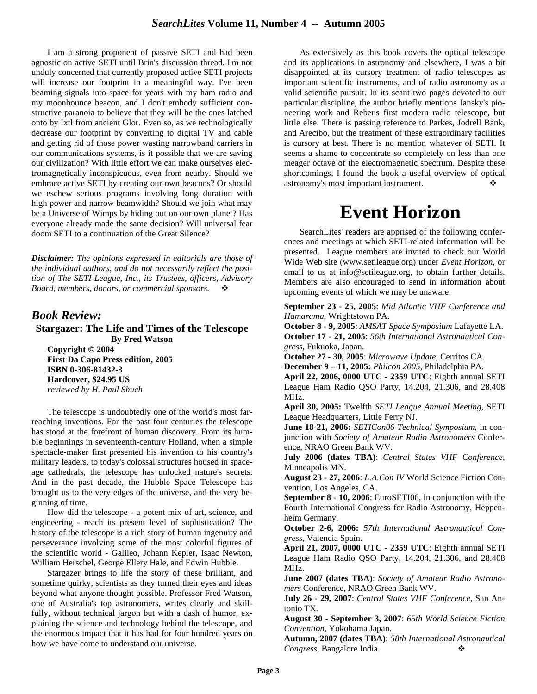I am a strong proponent of passive SETI and had been agnostic on active SETI until Brin's discussion thread. I'm not unduly concerned that currently proposed active SETI projects will increase our footprint in a meaningful way. I've been beaming signals into space for years with my ham radio and my moonbounce beacon, and I don't embody sufficient constructive paranoia to believe that they will be the ones latched onto by Ixtl from ancient Glor. Even so, as we technologically decrease our footprint by converting to digital TV and cable and getting rid of those power wasting narrowband carriers in our communications systems, is it possible that we are saving our civilization? With little effort we can make ourselves electromagnetically inconspicuous, even from nearby. Should we embrace active SETI by creating our own beacons? Or should we eschew serious programs involving long duration with high power and narrow beamwidth? Should we join what may be a Universe of Wimps by hiding out on our own planet? Has everyone already made the same decision? Will universal fear doom SETI to a continuation of the Great Silence?

*Disclaimer: The opinions expressed in editorials are those of the individual authors, and do not necessarily reflect the position of The SETI League, Inc., its Trustees, officers, Advisory* Board, members, donors, or commercial sponsors.  $\cdot$ 

### *Book Review:*

**Stargazer: The Life and Times of the Telescope By Fred Watson**

**Copyright © 2004 First Da Capo Press edition, 2005 ISBN 0-306-81432-3 Hardcover, \$24.95 US**  *reviewed by H. Paul Shuch*

The telescope is undoubtedly one of the world's most farreaching inventions. For the past four centuries the telescope has stood at the forefront of human discovery. From its humble beginnings in seventeenth-century Holland, when a simple spectacle-maker first presented his invention to his country's military leaders, to today's colossal structures housed in spaceage cathedrals, the telescope has unlocked nature's secrets. And in the past decade, the Hubble Space Telescope has brought us to the very edges of the universe, and the very beginning of time.

How did the telescope - a potent mix of art, science, and engineering - reach its present level of sophistication? The history of the telescope is a rich story of human ingenuity and perseverance involving some of the most colorful figures of the scientific world - Galileo, Johann Kepler, Isaac Newton, William Herschel, George Ellery Hale, and Edwin Hubble.

Stargazer brings to life the story of these brilliant, and sometime quirky, scientists as they turned their eyes and ideas beyond what anyone thought possible. Professor Fred Watson, one of Australia's top astronomers, writes clearly and skillfully, without technical jargon but with a dash of humor, explaining the science and technology behind the telescope, and the enormous impact that it has had for four hundred years on how we have come to understand our universe.

As extensively as this book covers the optical telescope and its applications in astronomy and elsewhere, I was a bit disappointed at its cursory treatment of radio telescopes as important scientific instruments, and of radio astronomy as a valid scientific pursuit. In its scant two pages devoted to our particular discipline, the author briefly mentions Jansky's pioneering work and Reber's first modern radio telescope, but little else. There is passing reference to Parkes, Jodrell Bank, and Arecibo, but the treatment of these extraordinary facilities is cursory at best. There is no mention whatever of SETI. It seems a shame to concentrate so completely on less than one meager octave of the electromagnetic spectrum. Despite these shortcomings, I found the book a useful overview of optical astronomy's most important instrument.  $\bullet$ 

# **Event Horizon**

SearchLites' readers are apprised of the following conferences and meetings at which SETI-related information will be presented. League members are invited to check our World Wide Web site (www.setileague.org) under *Event Horizon*, or email to us at info@setileague.org, to obtain further details. Members are also encouraged to send in information about upcoming events of which we may be unaware.

**September 23 - 25, 2005**: *Mid Atlantic VHF Conference and Hamarama*, Wrightstown PA.

**October 8 - 9, 2005**: *AMSAT Space Symposium* Lafayette LA. **October 17 - 21, 2005**: *56th International Astronautical Congress*, Fukuoka, Japan.

**October 27 - 30, 2005**: *Microwave Update*, Cerritos CA.

**December 9 – 11, 2005:** *Philcon 2005*, Philadelphia PA.

**April 22, 2006, 0000 UTC - 2359 UTC**: Eighth annual SETI League Ham Radio QSO Party, 14.204, 21.306, and 28.408 MHz.

**April 30, 2005:** Twelfth *SETI League Annual Meeting*, SETI League Headquarters, Little Ferry NJ.

**June 18-21, 2006:** *SETICon06 Technical Symposium*, in conjunction with *Society of Amateur Radio Astronomers* Conference, NRAO Green Bank WV.

**July 2006 (dates TBA)**: *Central States VHF Conference*, Minneapolis MN.

**August 23 - 27, 2006**: *L.A.Con IV* World Science Fiction Convention, Los Angeles, CA.

**September 8 - 10, 2006**: EuroSETI06, in conjunction with the Fourth International Congress for Radio Astronomy, Heppenheim Germany.

**October 2-6, 2006:** *57th International Astronautical Congress*, Valencia Spain.

**April 21, 2007, 0000 UTC - 2359 UTC**: Eighth annual SETI League Ham Radio QSO Party, 14.204, 21.306, and 28.408 MHz.

**June 2007 (dates TBA)**: *Society of Amateur Radio Astronomers* Conference, NRAO Green Bank WV.

**July 26 - 29, 2007**: *Central States VHF Conference*, San Antonio TX.

**August 30 - September 3, 2007**: *65th World Science Fiction Convention*, Yokohama Japan.

**Autumn, 2007 (dates TBA)**: *58th International Astronautical Congress*, Bangalore India. v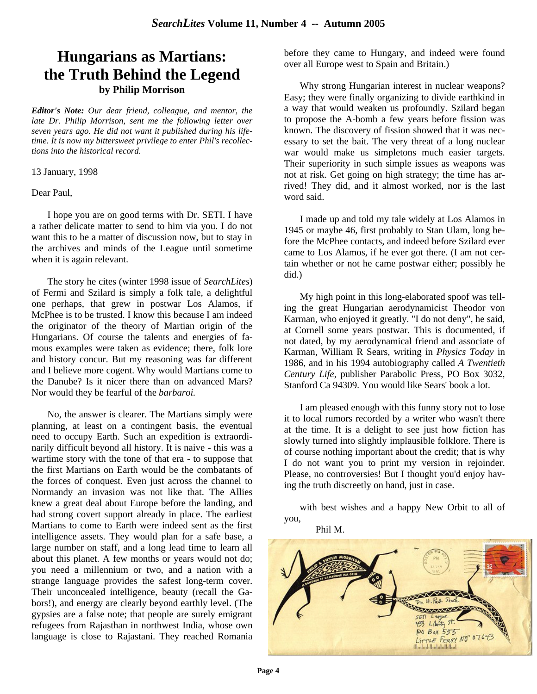### **Hungarians as Martians: the Truth Behind the Legend by Philip Morrison**

*Editor's Note: Our dear friend, colleague, and mentor, the late Dr. Philip Morrison, sent me the following letter over seven years ago. He did not want it published during his lifetime. It is now my bittersweet privilege to enter Phil's recollections into the historical record.*

13 January, 1998

Dear Paul,

I hope you are on good terms with Dr. SETI. I have a rather delicate matter to send to him via you. I do not want this to be a matter of discussion now, but to stay in the archives and minds of the League until sometime when it is again relevant.

The story he cites (winter 1998 issue of *SearchLites*) of Fermi and Szilard is simply a folk tale, a delightful one perhaps, that grew in postwar Los Alamos, if McPhee is to be trusted. I know this because I am indeed the originator of the theory of Martian origin of the Hungarians. Of course the talents and energies of famous examples were taken as evidence; there, folk lore and history concur. But my reasoning was far different and I believe more cogent. Why would Martians come to the Danube? Is it nicer there than on advanced Mars? Nor would they be fearful of the *barbaroi.*

No, the answer is clearer. The Martians simply were planning, at least on a contingent basis, the eventual need to occupy Earth. Such an expedition is extraordinarily difficult beyond all history. It is naive - this was a wartime story with the tone of that era - to suppose that the first Martians on Earth would be the combatants of the forces of conquest. Even just across the channel to Normandy an invasion was not like that. The Allies knew a great deal about Europe before the landing, and had strong covert support already in place. The earliest Martians to come to Earth were indeed sent as the first intelligence assets. They would plan for a safe base, a large number on staff, and a long lead time to learn all about this planet. A few months or years would not do; you need a millennium or two, and a nation with a strange language provides the safest long-term cover. Their unconcealed intelligence, beauty (recall the Gabors!), and energy are clearly beyond earthly level. (The gypsies are a false note; that people are surely emigrant refugees from Rajasthan in northwest India, whose own language is close to Rajastani. They reached Romania before they came to Hungary, and indeed were found over all Europe west to Spain and Britain.)

Why strong Hungarian interest in nuclear weapons? Easy; they were finally organizing to divide earthkind in a way that would weaken us profoundly. Szilard began to propose the A-bomb a few years before fission was known. The discovery of fission showed that it was necessary to set the bait. The very threat of a long nuclear war would make us simpletons much easier targets. Their superiority in such simple issues as weapons was not at risk. Get going on high strategy; the time has arrived! They did, and it almost worked, nor is the last word said.

I made up and told my tale widely at Los Alamos in 1945 or maybe 46, first probably to Stan Ulam, long before the McPhee contacts, and indeed before Szilard ever came to Los Alamos, if he ever got there. (I am not certain whether or not he came postwar either; possibly he did.)

My high point in this long-elaborated spoof was telling the great Hungarian aerodynamicist Theodor von Karman, who enjoyed it greatly. "I do not deny", he said, at Cornell some years postwar. This is documented, if not dated, by my aerodynamical friend and associate of Karman, William R Sears, writing in *Physics Today* in 1986, and in his 1994 autobiography called *A Twentieth Century Life*, publisher Parabolic Press, PO Box 3032, Stanford Ca 94309. You would like Sears' book a lot.

I am pleased enough with this funny story not to lose it to local rumors recorded by a writer who wasn't there at the time. It is a delight to see just how fiction has slowly turned into slightly implausible folklore. There is of course nothing important about the credit; that is why I do not want you to print my version in rejoinder. Please, no controversies! But I thought you'd enjoy having the truth discreetly on hand, just in case.

with best wishes and a happy New Orbit to all of you,



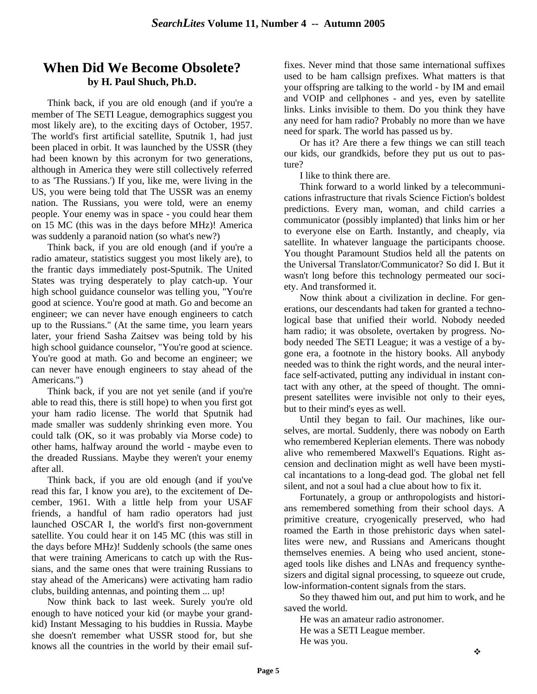### **When Did We Become Obsolete? by H. Paul Shuch, Ph.D.**

Think back, if you are old enough (and if you're a member of The SETI League, demographics suggest you most likely are), to the exciting days of October, 1957. The world's first artificial satellite, Sputnik 1, had just been placed in orbit. It was launched by the USSR (they had been known by this acronym for two generations, although in America they were still collectively referred to as 'The Russians.') If you, like me, were living in the US, you were being told that The USSR was an enemy nation. The Russians, you were told, were an enemy people. Your enemy was in space - you could hear them on 15 MC (this was in the days before MHz)! America was suddenly a paranoid nation (so what's new?)

Think back, if you are old enough (and if you're a radio amateur, statistics suggest you most likely are), to the frantic days immediately post-Sputnik. The United States was trying desperately to play catch-up. Your high school guidance counselor was telling you, "You're good at science. You're good at math. Go and become an engineer; we can never have enough engineers to catch up to the Russians." (At the same time, you learn years later, your friend Sasha Zaitsev was being told by his high school guidance counselor, "You're good at science. You're good at math. Go and become an engineer; we can never have enough engineers to stay ahead of the Americans.")

Think back, if you are not yet senile (and if you're able to read this, there is still hope) to when you first got your ham radio license. The world that Sputnik had made smaller was suddenly shrinking even more. You could talk (OK, so it was probably via Morse code) to other hams, halfway around the world - maybe even to the dreaded Russians. Maybe they weren't your enemy after all.

Think back, if you are old enough (and if you've read this far, I know you are), to the excitement of December, 1961. With a little help from your USAF friends, a handful of ham radio operators had just launched OSCAR I, the world's first non-government satellite. You could hear it on 145 MC (this was still in the days before MHz)! Suddenly schools (the same ones that were training Americans to catch up with the Russians, and the same ones that were training Russians to stay ahead of the Americans) were activating ham radio clubs, building antennas, and pointing them ... up!

Now think back to last week. Surely you're old enough to have noticed your kid (or maybe your grandkid) Instant Messaging to his buddies in Russia. Maybe she doesn't remember what USSR stood for, but she knows all the countries in the world by their email suffixes. Never mind that those same international suffixes used to be ham callsign prefixes. What matters is that your offspring are talking to the world - by IM and email and VOIP and cellphones - and yes, even by satellite links. Links invisible to them. Do you think they have any need for ham radio? Probably no more than we have need for spark. The world has passed us by.

Or has it? Are there a few things we can still teach our kids, our grandkids, before they put us out to pasture?

I like to think there are.

Think forward to a world linked by a telecommunications infrastructure that rivals Science Fiction's boldest predictions. Every man, woman, and child carries a communicator (possibly implanted) that links him or her to everyone else on Earth. Instantly, and cheaply, via satellite. In whatever language the participants choose. You thought Paramount Studios held all the patents on the Universal Translator/Communicator? So did I. But it wasn't long before this technology permeated our society. And transformed it.

Now think about a civilization in decline. For generations, our descendants had taken for granted a technological base that unified their world. Nobody needed ham radio; it was obsolete, overtaken by progress. Nobody needed The SETI League; it was a vestige of a bygone era, a footnote in the history books. All anybody needed was to think the right words, and the neural interface self-activated, putting any individual in instant contact with any other, at the speed of thought. The omnipresent satellites were invisible not only to their eyes, but to their mind's eyes as well.

Until they began to fail. Our machines, like ourselves, are mortal. Suddenly, there was nobody on Earth who remembered Keplerian elements. There was nobody alive who remembered Maxwell's Equations. Right ascension and declination might as well have been mystical incantations to a long-dead god. The global net fell silent, and not a soul had a clue about how to fix it.

Fortunately, a group or anthropologists and historians remembered something from their school days. A primitive creature, cryogenically preserved, who had roamed the Earth in those prehistoric days when satellites were new, and Russians and Americans thought themselves enemies. A being who used ancient, stoneaged tools like dishes and LNAs and frequency synthesizers and digital signal processing, to squeeze out crude, low-information-content signals from the stars.

So they thawed him out, and put him to work, and he saved the world.

He was an amateur radio astronomer. He was a SETI League member. He was you.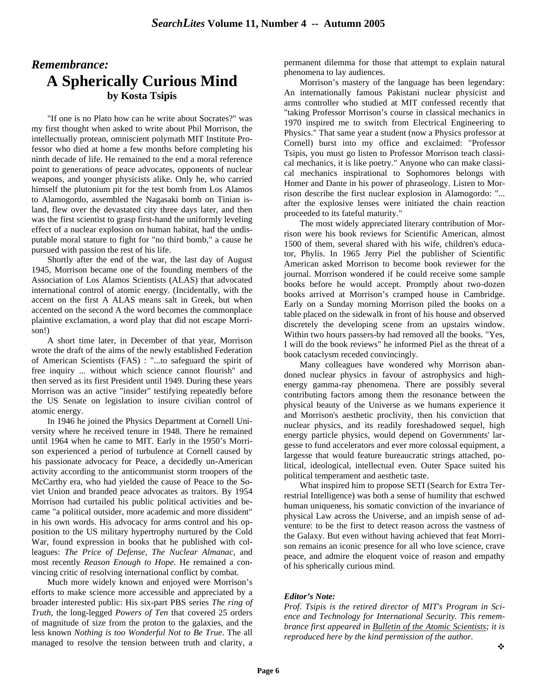### *Remembrance:* **A Spherically Curious Mind by Kosta Tsipis**

"If one is no Plato how can he write about Socrates?" was my first thought when asked to write about Phil Morrison, the intellectually protean, omniscient polymath MIT Institute Professor who died at home a few months before completing his ninth decade of life. He remained to the end a moral reference point to generations of peace advocates, opponents of nuclear weapons, and younger physicists alike. Only he, who carried himself the plutonium pit for the test bomb from Los Alamos to Alamogordo, assembled the Nagasaki bomb on Tinian island, flew over the devastated city three days later, and then was the first scientist to grasp first-hand the uniformly leveling effect of a nuclear explosion on human habitat, had the undisputable moral stature to fight for "no third bomb," a cause he pursued with passion the rest of his life.

Shortly after the end of the war, the last day of August 1945, Morrison became one of the founding members of the Association of Los Alamos Scientists (ALAS) that advocated international control of atomic energy. (Incidentally, with the accent on the first A ALAS means salt in Greek, but when accented on the second A the word becomes the commonplace plaintive exclamation, a word play that did not escape Morrison!)

A short time later, in December of that year, Morrison wrote the draft of the aims of the newly established Federation of American Scientists (FAS) : "...to safeguard the spirit of free inquiry ... without which science cannot flourish" and then served as its first President until 1949. During these years Morrison was an active "insider" testifying repeatedly before the US Senate on legislation to insure civilian control of atomic energy.

In 1946 he joined the Physics Department at Cornell University where he received tenure in 1948. There he remained until 1964 when he came to MIT. Early in the 1950's Morrison experienced a period of turbulence at Cornell caused by his passionate advocacy for Peace, a decidedly un-American activity according to the anticommunist storm troopers of the McCarthy era, who had yielded the cause of Peace to the Soviet Union and branded peace advocates as traitors. By 1954 Morrison had curtailed his public political activities and became "a political outsider, more academic and more dissident" in his own words. His advocacy for arms control and his opposition to the US military hypertrophy nurtured by the Cold War, found expression in books that he published with colleagues: *The Price of Defense*, *The Nuclear Almanac*, and most recently *Reason Enough to Hope*. He remained a convincing critic of resolving international conflict by combat.

Much more widely known and enjoyed were Morrison's efforts to make science more accessible and appreciated by a broader interested public: His six-part PBS series *The ring of Truth*, the long-legged *Powers of Ten* that covered 25 orders of magnitude of size from the proton to the galaxies, and the less known *Nothing is too Wonderful Not to Be True*. The all managed to resolve the tension between truth and clarity, a

permanent dilemma for those that attempt to explain natural phenomena to lay audiences.

Morrison's mastery of the language has been legendary: An internationally famous Pakistani nuclear physicist and arms controller who studied at MIT confessed recently that "taking Professor Morrison's course in classical mechanics in 1970 inspired me to switch from Electrical Engineering to Physics." That same year a student (now a Physics professor at Cornell) burst into my office and exclaimed: "Professor Tsipis, you must go listen to Professor Morrison teach classical mechanics, it is like poetry." Anyone who can make classical mechanics inspirational to Sophomores belongs with Homer and Dante in his power of phraseology. Listen to Morrison describe the first nuclear explosion in Alamogordo: "... after the explosive lenses were initiated the chain reaction proceeded to its fateful maturity."

The most widely appreciated literary contribution of Morrison were his book reviews for Scientific American, almost 1500 of them, several shared with his wife, children's educator, Phylis. In 1965 Jerry Piel the publisher of Scientific American asked Morrison to become book reviewer for the journal. Morrison wondered if he could receive some sample books before he would accept. Promptly about two-dozen books arrived at Morrison's cramped house in Cambridge. Early on a Sunday morning Morrison piled the books on a table placed on the sidewalk in front of his house and observed discretely the developing scene from an upstairs window. Within two hours passers-by had removed all the books. "Yes, I will do the book reviews" he informed Piel as the threat of a book cataclysm receded convincingly.

Many colleagues have wondered why Morrison abandoned nuclear physics in favour of astrophysics and highenergy gamma-ray phenomena. There are possibly several contributing factors among them the resonance between the physical beauty of the Universe as we humans experience it and Morrison's aesthetic proclivity, then his conviction that nuclear physics, and its readily foreshadowed sequel, high energy particle physics, would depend on Governments' largesse to fund accelerators and ever more colossal equipment, a largesse that would feature bureaucratic strings attached, political, ideological, intellectual even. Outer Space suited his political temperament and aesthetic taste.

What inspired him to propose SETI (Search for Extra Terrestrial Intelligence) was both a sense of humility that eschwed human uniqueness, his somatic conviction of the invariance of physical Law across the Universe, and an impish sense of adventure: to be the first to detect reason across the vastness of the Galaxy. But even without having achieved that feat Morrison remains an iconic presence for all who love science, crave peace, and admire the eloquent voice of reason and empathy of his spherically curious mind.

#### *Editor's Note:*

*Prof. Tsipis is the retired director of MIT's Program in Science and Technology for International Security. This remembrance first appeared in Bulletin of the Atomic Scientists; it is reproduced here by the kind permission of the author.*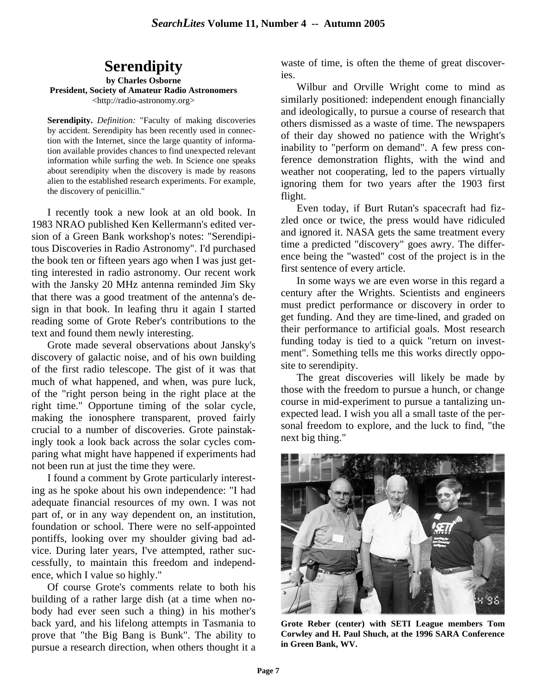# **Serendipity**

**by Charles Osborne President, Society of Amateur Radio Astronomers** <http://radio-astronomy.org>

**Serendipity.** *Definition:* "Faculty of making discoveries by accident. Serendipity has been recently used in connection with the Internet, since the large quantity of information available provides chances to find unexpected relevant information while surfing the web. In Science one speaks about serendipity when the discovery is made by reasons alien to the established research experiments. For example, the discovery of penicillin."

I recently took a new look at an old book. In 1983 NRAO published Ken Kellermann's edited version of a Green Bank workshop's notes: "Serendipitous Discoveries in Radio Astronomy". I'd purchased the book ten or fifteen years ago when I was just getting interested in radio astronomy. Our recent work with the Jansky 20 MHz antenna reminded Jim Sky that there was a good treatment of the antenna's design in that book. In leafing thru it again I started reading some of Grote Reber's contributions to the text and found them newly interesting.

Grote made several observations about Jansky's discovery of galactic noise, and of his own building of the first radio telescope. The gist of it was that much of what happened, and when, was pure luck, of the "right person being in the right place at the right time." Opportune timing of the solar cycle, making the ionosphere transparent, proved fairly crucial to a number of discoveries. Grote painstakingly took a look back across the solar cycles comparing what might have happened if experiments had not been run at just the time they were.

I found a comment by Grote particularly interesting as he spoke about his own independence: "I had adequate financial resources of my own. I was not part of, or in any way dependent on, an institution, foundation or school. There were no self-appointed pontiffs, looking over my shoulder giving bad advice. During later years, I've attempted, rather successfully, to maintain this freedom and independence, which I value so highly."

Of course Grote's comments relate to both his building of a rather large dish (at a time when nobody had ever seen such a thing) in his mother's back yard, and his lifelong attempts in Tasmania to prove that "the Big Bang is Bunk". The ability to pursue a research direction, when others thought it a waste of time, is often the theme of great discoveries.

Wilbur and Orville Wright come to mind as similarly positioned: independent enough financially and ideologically, to pursue a course of research that others dismissed as a waste of time. The newspapers of their day showed no patience with the Wright's inability to "perform on demand". A few press conference demonstration flights, with the wind and weather not cooperating, led to the papers virtually ignoring them for two years after the 1903 first flight.

Even today, if Burt Rutan's spacecraft had fizzled once or twice, the press would have ridiculed and ignored it. NASA gets the same treatment every time a predicted "discovery" goes awry. The difference being the "wasted" cost of the project is in the first sentence of every article.

In some ways we are even worse in this regard a century after the Wrights. Scientists and engineers must predict performance or discovery in order to get funding. And they are time-lined, and graded on their performance to artificial goals. Most research funding today is tied to a quick "return on investment". Something tells me this works directly opposite to serendipity.

The great discoveries will likely be made by those with the freedom to pursue a hunch, or change course in mid-experiment to pursue a tantalizing unexpected lead. I wish you all a small taste of the personal freedom to explore, and the luck to find, "the next big thing."



**Grote Reber (center) with SETI League members Tom Corwley and H. Paul Shuch, at the 1996 SARA Conference in Green Bank, WV.**